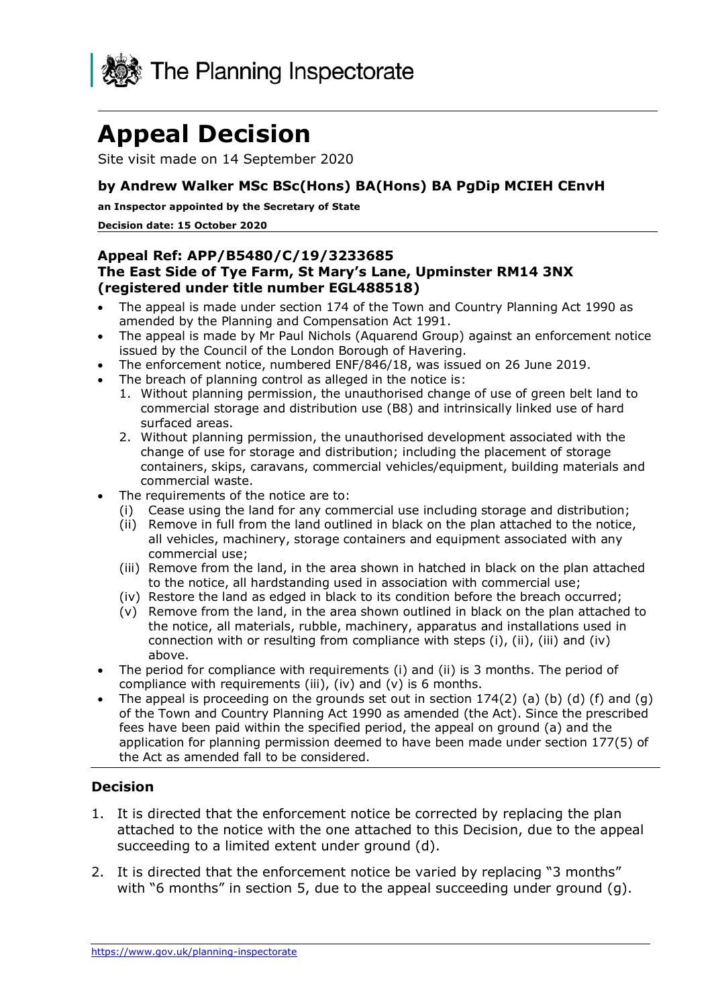

# **Appeal Decision**

Site visit made on 14 September 2020

## **by Andrew Walker MSc BSc(Hons) BA(Hons) BA PgDip MCIEH CEnvH**

**an Inspector appointed by the Secretary of State** 

#### **Decision date: 15 October 2020**

#### **Appeal Ref: APP/B5480/C/19/3233685 The East Side of Tye Farm, St Mary's Lane, Upminster RM14 3NX (registered under title number EGL488518)**

- • The appeal is made under section 174 of the Town and Country Planning Act 1990 as amended by the Planning and Compensation Act 1991.
- • The appeal is made by Mr Paul Nichols (Aquarend Group) against an enforcement notice issued by the Council of the London Borough of Havering.
- The enforcement notice, numbered ENF/846/18, was issued on 26 June 2019.
- • The breach of planning control as alleged in the notice is:
	- 1. Without planning permission, the unauthorised change of use of green belt land to commercial storage and distribution use (B8) and intrinsically linked use of hard surfaced areas.
	- 2. Without planning permission, the unauthorised development associated with the change of use for storage and distribution; including the placement of storage containers, skips, caravans, commercial vehicles/equipment, building materials and commercial waste.
- The requirements of the notice are to:
	- (i) Cease using the land for any commercial use including storage and distribution;
	- (ii) Remove in full from the land outlined in black on the plan attached to the notice, all vehicles, machinery, storage containers and equipment associated with any commercial use;
	- (iii) Remove from the land, in the area shown in hatched in black on the plan attached to the notice, all hardstanding used in association with commercial use;
	- (iv) Restore the land as edged in black to its condition before the breach occurred;
	- (v) Remove from the land, in the area shown outlined in black on the plan attached to the notice, all materials, rubble, machinery, apparatus and installations used in connection with or resulting from compliance with steps  $(i)$ ,  $(ii)$ ,  $(iii)$  and  $(iv)$ above.
- • The period for compliance with requirements (i) and (ii) is 3 months. The period of compliance with requirements (iii), (iv) and (v) is 6 months.
- The appeal is proceeding on the grounds set out in section  $174(2)$  (a) (b) (d) (f) and (g) of the Town and Country Planning Act 1990 as amended (the Act). Since the prescribed fees have been paid within the specified period, the appeal on ground (a) and the application for planning permission deemed to have been made under section 177(5) of the Act as amended fall to be considered.

## **Decision**

- 1. It is directed that the enforcement notice be corrected by replacing the plan attached to the notice with the one attached to this Decision, due to the appeal succeeding to a limited extent under ground (d).
- 2. It is directed that the enforcement notice be varied by replacing "3 months" with "6 months" in section 5, due to the appeal succeeding under ground (g).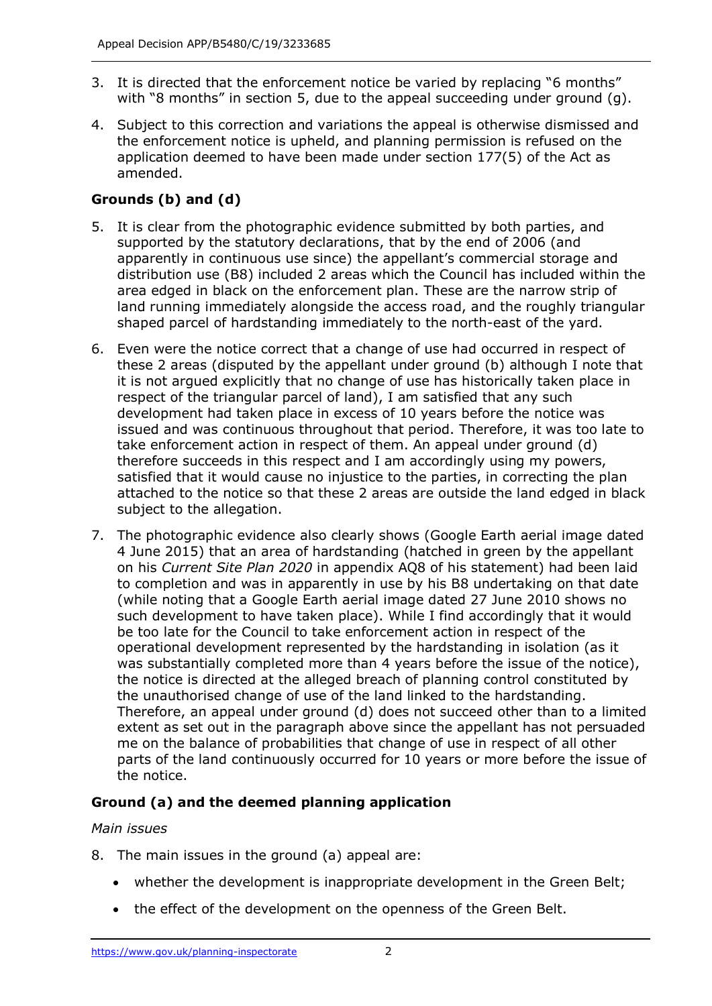- 3. It is directed that the enforcement notice be varied by replacing "6 months" with "8 months" in section 5, due to the appeal succeeding under ground (g).
- 4. Subject to this correction and variations the appeal is otherwise dismissed and the enforcement notice is upheld, and planning permission is refused on the application deemed to have been made under section 177(5) of the Act as amended.

# **Grounds (b) and (d)**

- 5. It is clear from the photographic evidence submitted by both parties, and supported by the statutory declarations, that by the end of 2006 (and apparently in continuous use since) the appellant's commercial storage and distribution use (B8) included 2 areas which the Council has included within the area edged in black on the enforcement plan. These are the narrow strip of land running immediately alongside the access road, and the roughly triangular shaped parcel of hardstanding immediately to the north-east of the yard.
- 6. Even were the notice correct that a change of use had occurred in respect of these 2 areas (disputed by the appellant under ground (b) although I note that it is not argued explicitly that no change of use has historically taken place in respect of the triangular parcel of land), I am satisfied that any such development had taken place in excess of 10 years before the notice was issued and was continuous throughout that period. Therefore, it was too late to take enforcement action in respect of them. An appeal under ground (d) therefore succeeds in this respect and I am accordingly using my powers, satisfied that it would cause no injustice to the parties, in correcting the plan attached to the notice so that these 2 areas are outside the land edged in black subject to the allegation.
- 7. The photographic evidence also clearly shows (Google Earth aerial image dated 4 June 2015) that an area of hardstanding (hatched in green by the appellant  on his *Current Site Plan 2020* in appendix AQ8 of his statement) had been laid to completion and was in apparently in use by his B8 undertaking on that date (while noting that a Google Earth aerial image dated 27 June 2010 shows no such development to have taken place). While I find accordingly that it would be too late for the Council to take enforcement action in respect of the operational development represented by the hardstanding in isolation (as it was substantially completed more than 4 years before the issue of the notice), the notice is directed at the alleged breach of planning control constituted by the unauthorised change of use of the land linked to the hardstanding. Therefore, an appeal under ground (d) does not succeed other than to a limited extent as set out in the paragraph above since the appellant has not persuaded me on the balance of probabilities that change of use in respect of all other parts of the land continuously occurred for 10 years or more before the issue of the notice.

## **Ground (a) and the deemed planning application**

## *Main issues*

- 8. The main issues in the ground (a) appeal are:
	- whether the development is inappropriate development in the Green Belt;
	- the effect of the development on the openness of the Green Belt.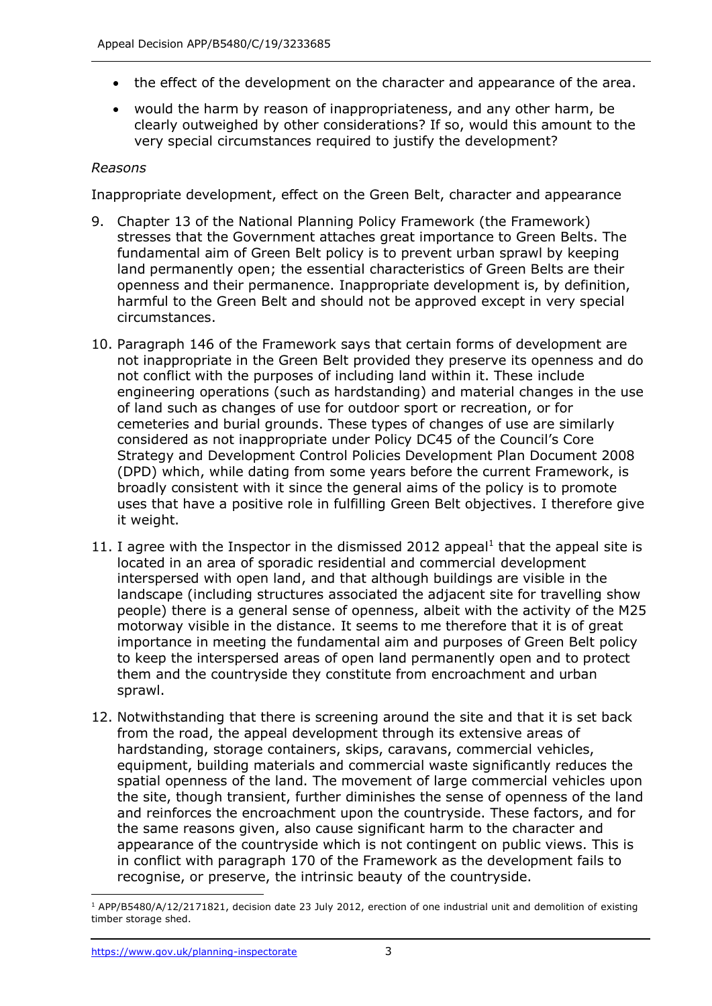- the effect of the development on the character and appearance of the area.
- • would the harm by reason of inappropriateness, and any other harm, be clearly outweighed by other considerations? If so, would this amount to the very special circumstances required to justify the development?

#### *Reasons*

Inappropriate development, effect on the Green Belt, character and appearance

- 9. Chapter 13 of the National Planning Policy Framework (the Framework) stresses that the Government attaches great importance to Green Belts. The fundamental aim of Green Belt policy is to prevent urban sprawl by keeping land permanently open; the essential characteristics of Green Belts are their openness and their permanence. Inappropriate development is, by definition, harmful to the Green Belt and should not be approved except in very special circumstances.
- 10. Paragraph 146 of the Framework says that certain forms of development are not inappropriate in the Green Belt provided they preserve its openness and do not conflict with the purposes of including land within it. These include of land such as changes of use for outdoor sport or recreation, or for cemeteries and burial grounds. These types of changes of use are similarly considered as not inappropriate under Policy DC45 of the Council's Core Strategy and Development Control Policies Development Plan Document 2008 (DPD) which, while dating from some years before the current Framework, is broadly consistent with it since the general aims of the policy is to promote uses that have a positive role in fulfilling Green Belt objectives. I therefore give engineering operations (such as hardstanding) and material changes in the use it weight.
- 11. I agree with the Inspector in the dismissed 2012 appeal<sup>1</sup> that the appeal site is located in an area of sporadic residential and commercial development interspersed with open land, and that although buildings are visible in the landscape (including structures associated the adjacent site for travelling show people) there is a general sense of openness, albeit with the activity of the M25 motorway visible in the distance. It seems to me therefore that it is of great importance in meeting the fundamental aim and purposes of Green Belt policy to keep the interspersed areas of open land permanently open and to protect them and the countryside they constitute from encroachment and urban sprawl.
- 12. Notwithstanding that there is screening around the site and that it is set back from the road, the appeal development through its extensive areas of hardstanding, storage containers, skips, caravans, commercial vehicles, equipment, building materials and commercial waste significantly reduces the spatial openness of the land. The movement of large commercial vehicles upon the site, though transient, further diminishes the sense of openness of the land and reinforces the encroachment upon the countryside. These factors, and for the same reasons given, also cause significant harm to the character and in conflict with paragraph 170 of the Framework as the development fails to recognise, or preserve, the intrinsic beauty of the countryside. appearance of the countryside which is not contingent on public views. This is

 $1$  APP/B5480/A/12/2171821, decision date 23 July 2012, erection of one industrial unit and demolition of existing timber storage shed.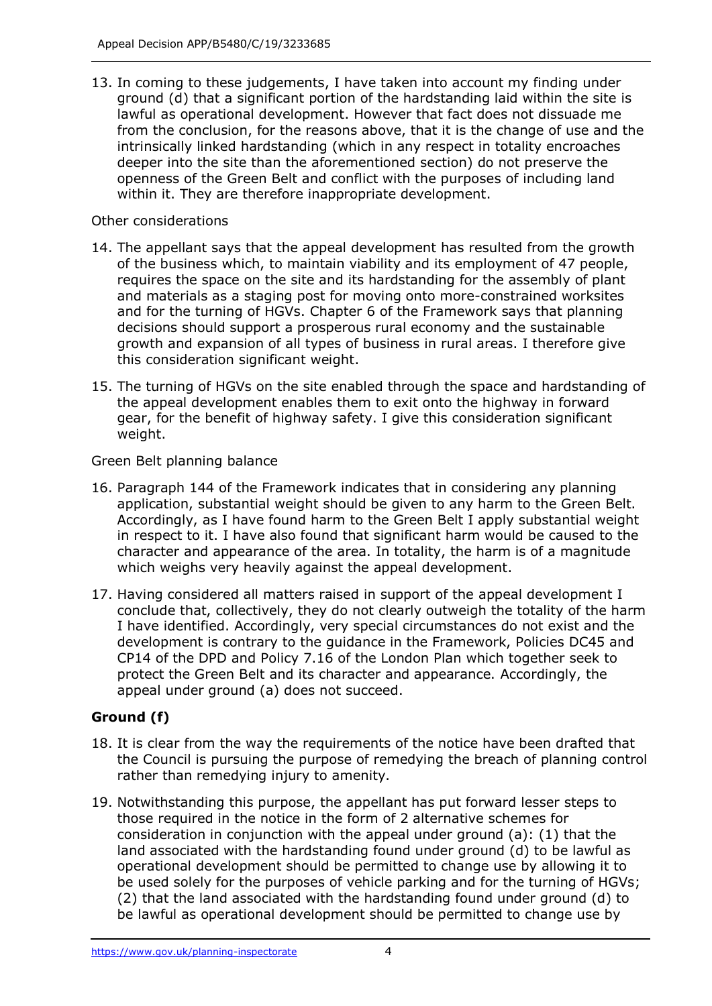13. In coming to these judgements, I have taken into account my finding under ground (d) that a significant portion of the hardstanding laid within the site is lawful as operational development. However that fact does not dissuade me from the conclusion, for the reasons above, that it is the change of use and the intrinsically linked hardstanding (which in any respect in totality encroaches deeper into the site than the aforementioned section) do not preserve the openness of the Green Belt and conflict with the purposes of including land within it. They are therefore inappropriate development.

#### Other considerations

- 14. The appellant says that the appeal development has resulted from the growth of the business which, to maintain viability and its employment of 47 people, requires the space on the site and its hardstanding for the assembly of plant and materials as a staging post for moving onto more-constrained worksites and for the turning of HGVs. Chapter 6 of the Framework says that planning decisions should support a prosperous rural economy and the sustainable growth and expansion of all types of business in rural areas. I therefore give this consideration significant weight.
- 15. The turning of HGVs on the site enabled through the space and hardstanding of the appeal development enables them to exit onto the highway in forward gear, for the benefit of highway safety. I give this consideration significant weight.

### Green Belt planning balance

- 16. Paragraph 144 of the Framework indicates that in considering any planning application, substantial weight should be given to any harm to the Green Belt. Accordingly, as I have found harm to the Green Belt I apply substantial weight in respect to it. I have also found that significant harm would be caused to the character and appearance of the area. In totality, the harm is of a magnitude which weighs very heavily against the appeal development.
- 17. Having considered all matters raised in support of the appeal development I conclude that, collectively, they do not clearly outweigh the totality of the harm I have identified. Accordingly, very special circumstances do not exist and the development is contrary to the guidance in the Framework, Policies DC45 and CP14 of the DPD and Policy 7.16 of the London Plan which together seek to protect the Green Belt and its character and appearance. Accordingly, the appeal under ground (a) does not succeed.

## **Ground (f)**

- 18. It is clear from the way the requirements of the notice have been drafted that the Council is pursuing the purpose of remedying the breach of planning control rather than remedying injury to amenity.
- 19. Notwithstanding this purpose, the appellant has put forward lesser steps to those required in the notice in the form of 2 alternative schemes for consideration in conjunction with the appeal under ground (a): (1) that the land associated with the hardstanding found under ground (d) to be lawful as operational development should be permitted to change use by allowing it to be used solely for the purposes of vehicle parking and for the turning of HGVs; (2) that the land associated with the hardstanding found under ground (d) to be lawful as operational development should be permitted to change use by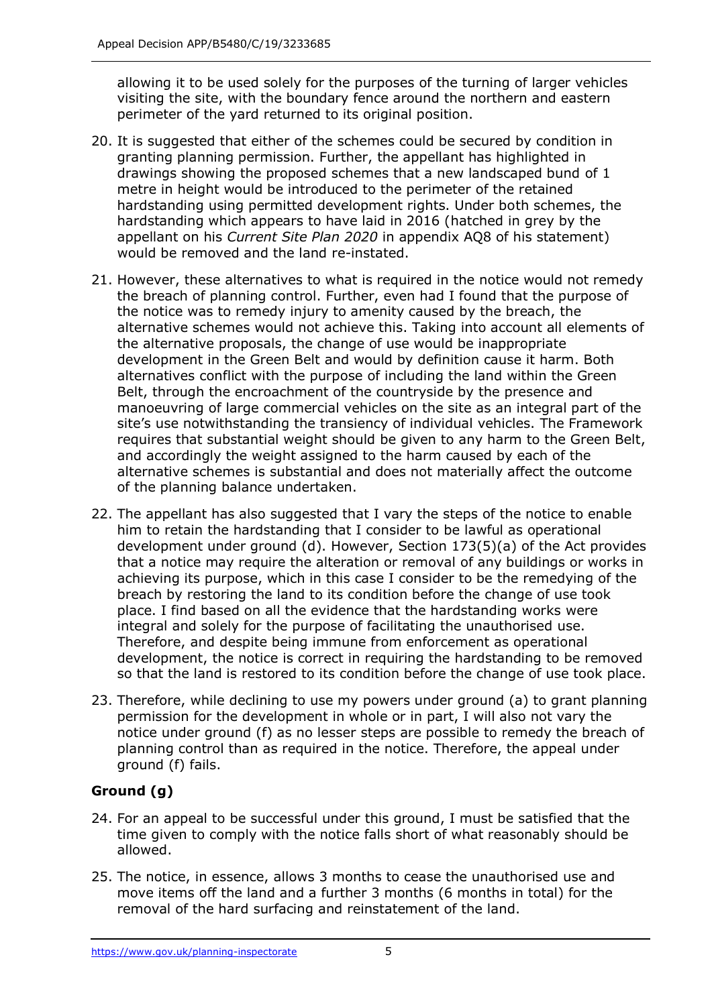allowing it to be used solely for the purposes of the turning of larger vehicles visiting the site, with the boundary fence around the northern and eastern perimeter of the yard returned to its original position.

- 20. It is suggested that either of the schemes could be secured by condition in granting planning permission. Further, the appellant has highlighted in drawings showing the proposed schemes that a new landscaped bund of 1 metre in height would be introduced to the perimeter of the retained hardstanding using permitted development rights. Under both schemes, the hardstanding which appears to have laid in 2016 (hatched in grey by the  appellant on his *Current Site Plan 2020* in appendix AQ8 of his statement) would be removed and the land re-instated.
- 21. However, these alternatives to what is required in the notice would not remedy the breach of planning control. Further, even had I found that the purpose of the notice was to remedy injury to amenity caused by the breach, the alternative schemes would not achieve this. Taking into account all elements of the alternative proposals, the change of use would be inappropriate alternatives conflict with the purpose of including the land within the Green Belt, through the encroachment of the countryside by the presence and manoeuvring of large commercial vehicles on the site as an integral part of the site's use notwithstanding the transiency of individual vehicles. The Framework requires that substantial weight should be given to any harm to the Green Belt, and accordingly the weight assigned to the harm caused by each of the alternative schemes is substantial and does not materially affect the outcome of the planning balance undertaken. development in the Green Belt and would by definition cause it harm. Both
- 22. The appellant has also suggested that I vary the steps of the notice to enable him to retain the hardstanding that I consider to be lawful as operational development under ground (d). However, Section 173(5)(a) of the Act provides that a notice may require the alteration or removal of any buildings or works in achieving its purpose, which in this case I consider to be the remedying of the breach by restoring the land to its condition before the change of use took place. I find based on all the evidence that the hardstanding works were integral and solely for the purpose of facilitating the unauthorised use. Therefore, and despite being immune from enforcement as operational development, the notice is correct in requiring the hardstanding to be removed so that the land is restored to its condition before the change of use took place.
- 23. Therefore, while declining to use my powers under ground (a) to grant planning permission for the development in whole or in part, I will also not vary the notice under ground (f) as no lesser steps are possible to remedy the breach of planning control than as required in the notice. Therefore, the appeal under ground (f) fails.

# **Ground (g)**

- 24. For an appeal to be successful under this ground, I must be satisfied that the time given to comply with the notice falls short of what reasonably should be allowed.
- 25. The notice, in essence, allows 3 months to cease the unauthorised use and move items off the land and a further 3 months (6 months in total) for the removal of the hard surfacing and reinstatement of the land.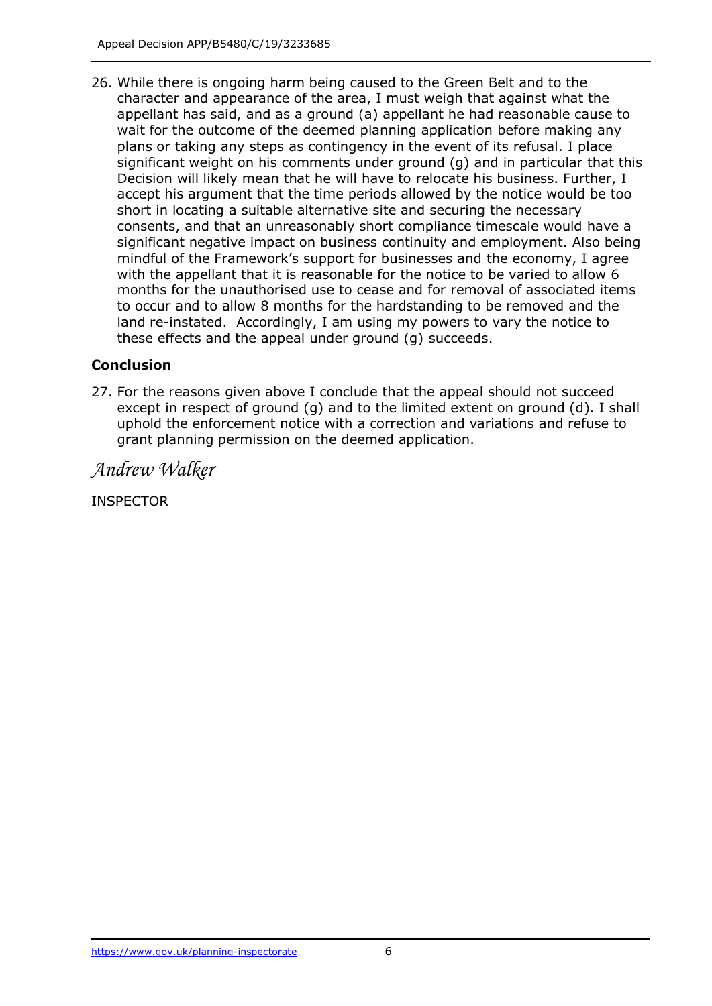26. While there is ongoing harm being caused to the Green Belt and to the character and appearance of the area, I must weigh that against what the appellant has said, and as a ground (a) appellant he had reasonable cause to wait for the outcome of the deemed planning application before making any plans or taking any steps as contingency in the event of its refusal. I place significant weight on his comments under ground (g) and in particular that this Decision will likely mean that he will have to relocate his business. Further, I accept his argument that the time periods allowed by the notice would be too short in locating a suitable alternative site and securing the necessary consents, and that an unreasonably short compliance timescale would have a significant negative impact on business continuity and employment. Also being mindful of the Framework's support for businesses and the economy, I agree with the appellant that it is reasonable for the notice to be varied to allow 6 months for the unauthorised use to cease and for removal of associated items to occur and to allow 8 months for the hardstanding to be removed and the land re-instated. Accordingly, I am using my powers to vary the notice to these effects and the appeal under ground (g) succeeds.

# **Conclusion**

 27. For the reasons given above I conclude that the appeal should not succeed except in respect of ground (g) and to the limited extent on ground (d). I shall uphold the enforcement notice with a correction and variations and refuse to grant planning permission on the deemed application.

*Andrew Walker* 

INSPECTOR